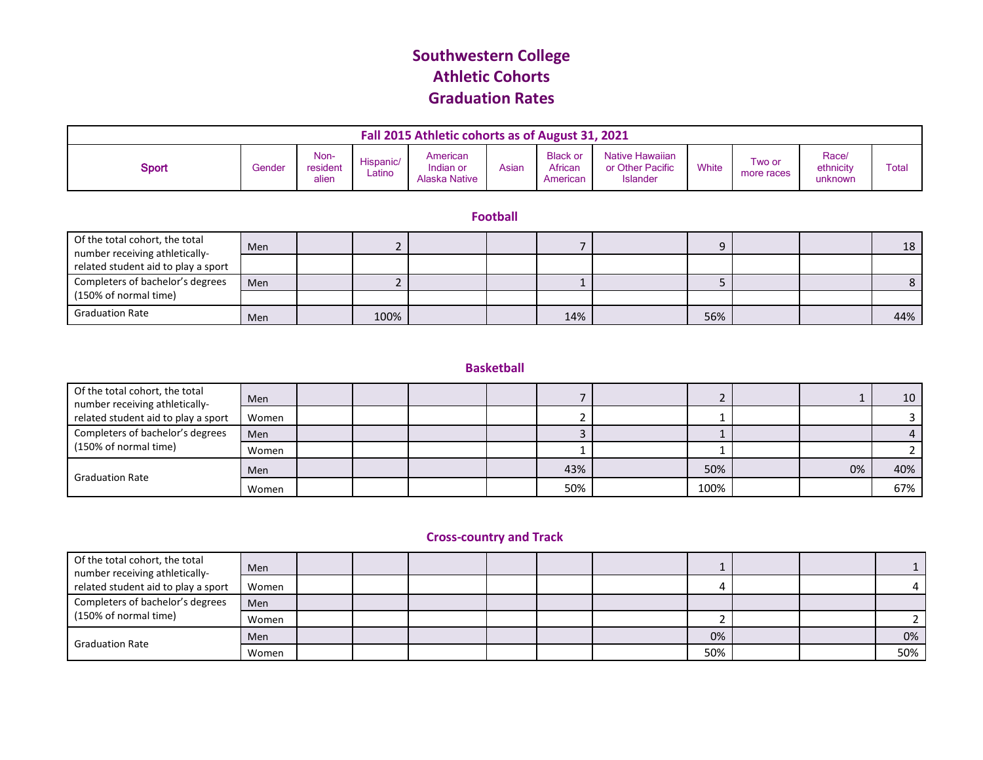## **Southwestern College Athletic Cohorts Graduation Rates**

| Fall 2015 Athletic cohorts as of August 31, 2021 |        |                           |                     |                                        |       |                                        |                                                        |       |                      |                               |       |
|--------------------------------------------------|--------|---------------------------|---------------------|----------------------------------------|-------|----------------------------------------|--------------------------------------------------------|-------|----------------------|-------------------------------|-------|
| Sport                                            | Gender | Non-<br>resident<br>alien | Hispanic/<br>Latino | American<br>Indian or<br>Alaska Native | Asian | <b>Black or</b><br>African<br>American | Native Hawaiian<br>or Other Pacific<br><b>Islander</b> | White | Two or<br>more races | Race/<br>ethnicity<br>unknown | Total |

**Football**

| Of the total cohort, the total<br>number receiving athletically- | Men |      |  |     |     |  | 18  |
|------------------------------------------------------------------|-----|------|--|-----|-----|--|-----|
| related student aid to play a sport                              |     |      |  |     |     |  |     |
| Completers of bachelor's degrees                                 | Men |      |  |     |     |  |     |
| (150% of normal time)                                            |     |      |  |     |     |  |     |
| <b>Graduation Rate</b>                                           | Men | 100% |  | 14% | 56% |  | 44% |

**Basketball**

| Of the total cohort, the total<br>number receiving athletically- | Men   |  |  |     |      |    | 10  |
|------------------------------------------------------------------|-------|--|--|-----|------|----|-----|
| related student aid to play a sport                              | Women |  |  |     |      |    |     |
| Completers of bachelor's degrees                                 | Men   |  |  |     |      |    |     |
| (150% of normal time)                                            | Women |  |  |     |      |    |     |
| <b>Graduation Rate</b>                                           | Men   |  |  | 43% | 50%  | 0% | 40% |
|                                                                  | Women |  |  | 50% | 100% |    | 67% |

## **Cross-country and Track**

| Of the total cohort, the total<br>number receiving athletically- | Men   |  |  |  |     |  |     |
|------------------------------------------------------------------|-------|--|--|--|-----|--|-----|
| related student aid to play a sport                              | Women |  |  |  |     |  |     |
| Completers of bachelor's degrees<br>(150% of normal time)        | Men   |  |  |  |     |  |     |
|                                                                  | Women |  |  |  |     |  |     |
|                                                                  | Men   |  |  |  | 0%  |  | 0%  |
| <b>Graduation Rate</b>                                           | Women |  |  |  | 50% |  | 50% |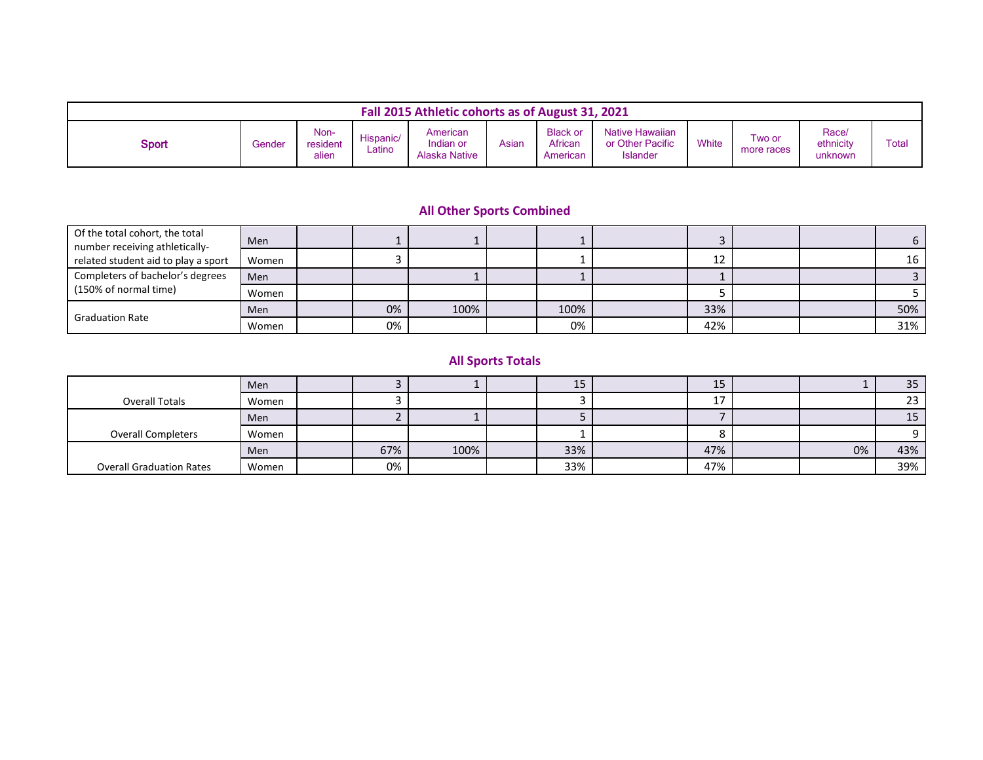| Fall 2015 Athletic cohorts as of August 31, 2021 |        |                           |                     |                                        |       |                                        |                                                        |       |                      |                               |      |
|--------------------------------------------------|--------|---------------------------|---------------------|----------------------------------------|-------|----------------------------------------|--------------------------------------------------------|-------|----------------------|-------------------------------|------|
| Sport                                            | Gender | Non-<br>resident<br>alien | Hispanic/<br>Latino | American<br>Indian or<br>Alaska Native | Asian | <b>Black or</b><br>African<br>American | Native Hawaiian<br>or Other Pacific<br><b>Islander</b> | White | Two or<br>more races | Race/<br>ethnicity<br>unknown | Tota |

## **All Other Sports Combined**

| Of the total cohort, the total<br>number receiving athletically- | Men   |    |      |      |     |  |     |
|------------------------------------------------------------------|-------|----|------|------|-----|--|-----|
| related student aid to play a sport                              | Women |    |      |      | ᅭ   |  | 16  |
| Completers of bachelor's degrees<br>(150% of normal time)        | Men   |    |      |      |     |  |     |
|                                                                  | Women |    |      |      |     |  |     |
|                                                                  | Men   | 0% | 100% | 100% | 33% |  | 50% |
| <b>Graduation Rate</b>                                           | Women | 0% |      | 0%   | 42% |  | 31% |

## **All Sports Totals**

|                                 | Men   |     |      | 15  | 15                 |    | 35      |
|---------------------------------|-------|-----|------|-----|--------------------|----|---------|
| <b>Overall Totals</b>           | Women |     |      |     | $\sim$<br><b>+</b> |    | วว<br>ت |
|                                 | Men   |     |      |     |                    |    | 15      |
| <b>Overall Completers</b>       | Women |     |      |     |                    |    |         |
|                                 | Men   | 67% | 100% | 33% | 47%                | 0% | 43%     |
| <b>Overall Graduation Rates</b> | Women | 0%  |      | 33% | 47%                |    | 39%     |